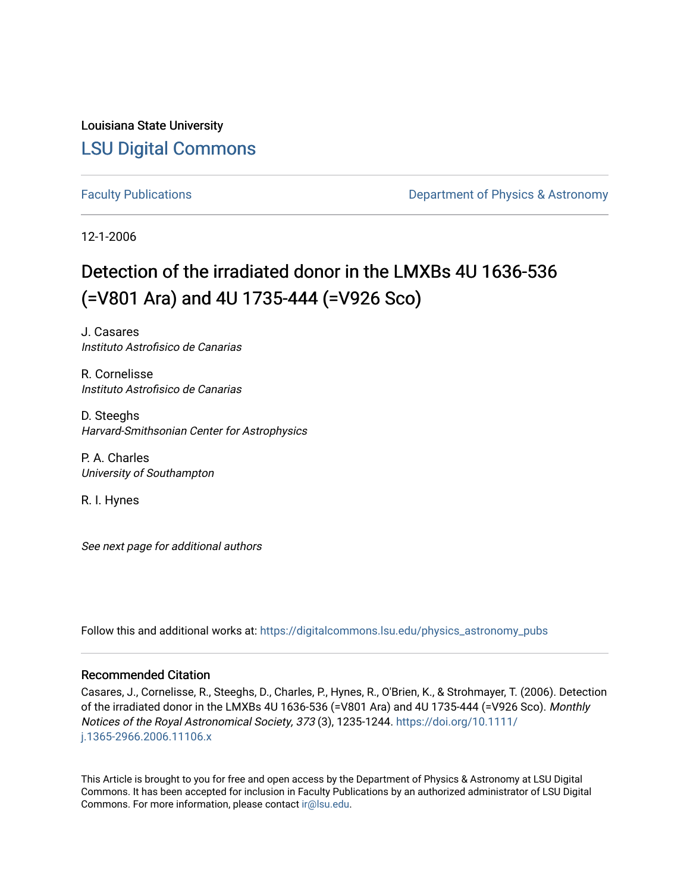Louisiana State University [LSU Digital Commons](https://digitalcommons.lsu.edu/)

[Faculty Publications](https://digitalcommons.lsu.edu/physics_astronomy_pubs) **Exercise 2 and Table 2 and Table 2 and Table 2 and Table 2 and Table 2 and Table 2 and Table 2 and Table 2 and Table 2 and Table 2 and Table 2 and Table 2 and Table 2 and Table 2 and Table 2 and Table** 

12-1-2006

# Detection of the irradiated donor in the LMXBs 4U 1636-536 (=V801 Ara) and 4U 1735-444 (=V926 Sco)

J. Casares Instituto Astrofisico de Canarias

R. Cornelisse Instituto Astrofisico de Canarias

D. Steeghs Harvard-Smithsonian Center for Astrophysics

P. A. Charles University of Southampton

R. I. Hynes

See next page for additional authors

Follow this and additional works at: [https://digitalcommons.lsu.edu/physics\\_astronomy\\_pubs](https://digitalcommons.lsu.edu/physics_astronomy_pubs?utm_source=digitalcommons.lsu.edu%2Fphysics_astronomy_pubs%2F2617&utm_medium=PDF&utm_campaign=PDFCoverPages) 

#### Recommended Citation

Casares, J., Cornelisse, R., Steeghs, D., Charles, P., Hynes, R., O'Brien, K., & Strohmayer, T. (2006). Detection of the irradiated donor in the LMXBs 4U 1636-536 (=V801 Ara) and 4U 1735-444 (=V926 Sco). Monthly Notices of the Royal Astronomical Society, 373 (3), 1235-1244. [https://doi.org/10.1111/](https://doi.org/10.1111/j.1365-2966.2006.11106.x) [j.1365-2966.2006.11106.x](https://doi.org/10.1111/j.1365-2966.2006.11106.x) 

This Article is brought to you for free and open access by the Department of Physics & Astronomy at LSU Digital Commons. It has been accepted for inclusion in Faculty Publications by an authorized administrator of LSU Digital Commons. For more information, please contact [ir@lsu.edu](mailto:ir@lsu.edu).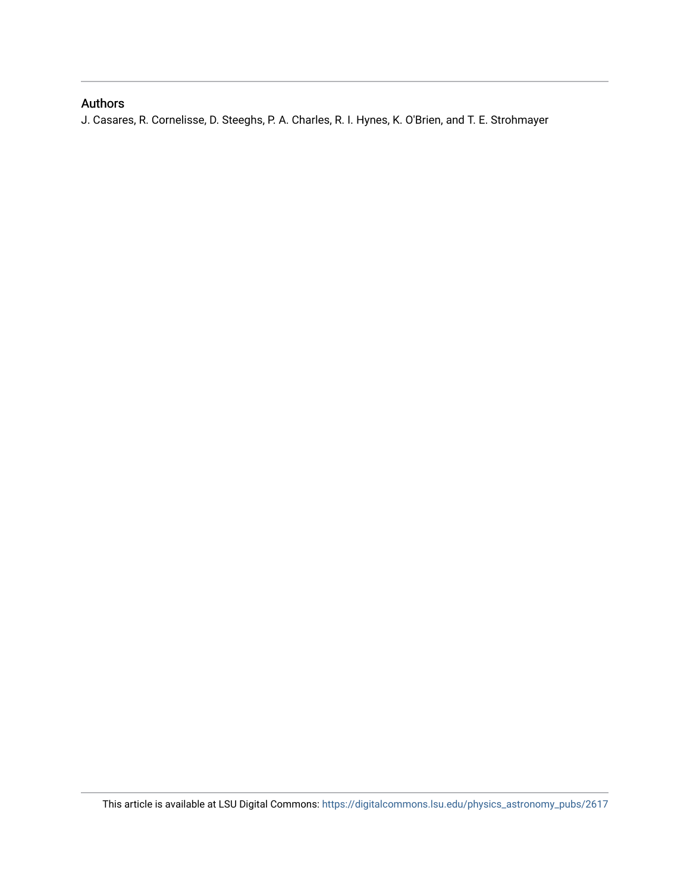### Authors

J. Casares, R. Cornelisse, D. Steeghs, P. A. Charles, R. I. Hynes, K. O'Brien, and T. E. Strohmayer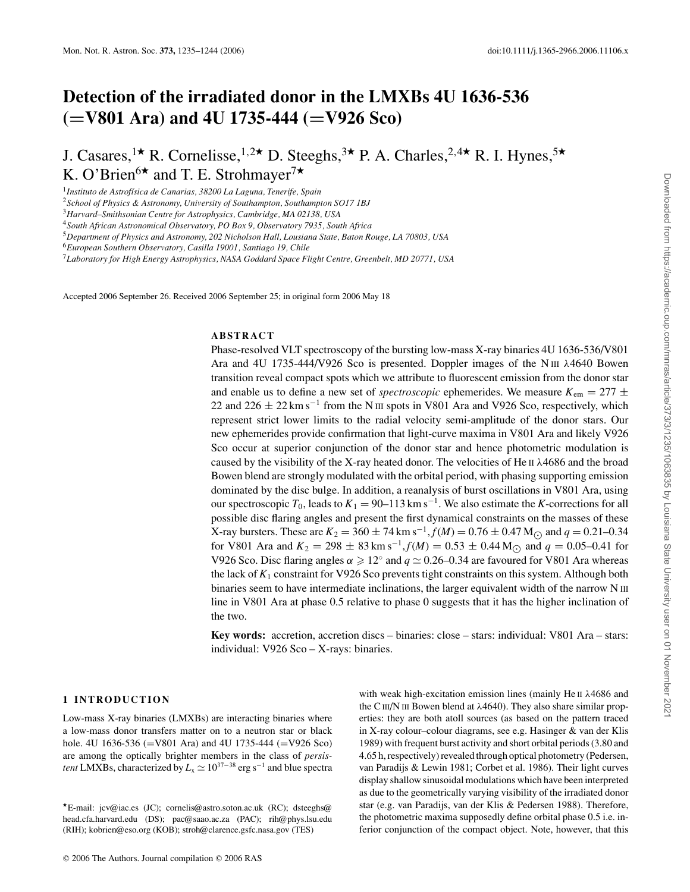## **Detection of the irradiated donor in the LMXBs 4U 1636-536 (=V801 Ara) and 4U 1735-444 (=V926 Sco)**

J. Casares,<sup>1\*</sup> R. Cornelisse,<sup>1,2\*</sup> D. Steeghs,<sup>3\*</sup> P. A. Charles,<sup>2,4\*</sup> R. I. Hynes,<sup>5\*</sup> K. O'Brien<sup>6\*</sup> and T. E. Strohmayer<sup>7\*</sup>

<sup>1</sup>*Instituto de Astrof´ısica de Canarias, 38200 La Laguna, Tenerife, Spain*

<sup>2</sup>*School of Physics & Astronomy, University of Southampton, Southampton SO17 1BJ*

Accepted 2006 September 26. Received 2006 September 25; in original form 2006 May 18

#### **ABSTRACT**

Phase-resolved VLT spectroscopy of the bursting low-mass X-ray binaries 4U 1636-536/V801 Ara and 4U 1735-444/V926 Sco is presented. Doppler images of the N III  $\lambda$ 4640 Bowen transition reveal compact spots which we attribute to fluorescent emission from the donor star and enable us to define a new set of *spectroscopic* ephemerides. We measure  $K_{\text{em}} = 277 \pm$ 22 and 226  $\pm$  22 km s<sup>-1</sup> from the N III spots in V801 Ara and V926 Sco, respectively, which represent strict lower limits to the radial velocity semi-amplitude of the donor stars. Our new ephemerides provide confirmation that light-curve maxima in V801 Ara and likely V926 Sco occur at superior conjunction of the donor star and hence photometric modulation is caused by the visibility of the X-ray heated donor. The velocities of He  $II$   $\lambda$ 4686 and the broad Bowen blend are strongly modulated with the orbital period, with phasing supporting emission dominated by the disc bulge. In addition, a reanalysis of burst oscillations in V801 Ara, using our spectroscopic  $T_0$ , leads to  $K_1 = 90-113$  km s<sup>-1</sup>. We also estimate the *K*-corrections for all possible disc flaring angles and present the first dynamical constraints on the masses of these X-ray bursters. These are  $K_2 = 360 \pm 74$  km s<sup>-1</sup>,  $f(M) = 0.76 \pm 0.47$  M<sub> $\odot$ </sub> and  $q = 0.21 - 0.34$ for V801 Ara and  $K_2 = 298 \pm 83 \text{ km s}^{-1}$ ,  $f(M) = 0.53 \pm 0.44 \text{ M}$  and  $q = 0.05{\text -}0.41$  for V926 Sco. Disc flaring angles  $\alpha \geq 12^\circ$  and  $q \simeq 0.26-0.34$  are favoured for V801 Ara whereas the lack of *K*<sup>1</sup> constraint for V926 Sco prevents tight constraints on this system. Although both binaries seem to have intermediate inclinations, the larger equivalent width of the narrow N III line in V801 Ara at phase 0.5 relative to phase 0 suggests that it has the higher inclination of the two.

**Key words:** accretion, accretion discs – binaries: close – stars: individual: V801 Ara – stars: individual: V926 Sco – X-rays: binaries.

#### **1 INTRODUCTION**

Low-mass X-ray binaries (LMXBs) are interacting binaries where a low-mass donor transfers matter on to a neutron star or black hole. 4U 1636-536 (=V801 Ara) and 4U 1735-444 (=V926 Sco) are among the optically brighter members in the class of *persistent* LMXBs, characterized by  $L_x \simeq 10^{37-38}$  erg s<sup>-1</sup> and blue spectra with weak high-excitation emission lines (mainly He II λ4686 and the CIII/N III Bowen blend at  $λ4640$ ). They also share similar properties: they are both atoll sources (as based on the pattern traced in X-ray colour–colour diagrams, see e.g. Hasinger & van der Klis 1989) with frequent burst activity and short orbital periods (3.80 and 4.65 h, respectively) revealed through optical photometry (Pedersen, van Paradijs & Lewin 1981; Corbet et al. 1986). Their light curves display shallow sinusoidal modulations which have been interpreted as due to the geometrically varying visibility of the irradiated donor star (e.g. van Paradijs, van der Klis & Pedersen 1988). Therefore, the photometric maxima supposedly define orbital phase 0.5 i.e. inferior conjunction of the compact object. Note, however, that this

<sup>3</sup>*Harvard–Smithsonian Centre for Astrophysics, Cambridge, MA 02138, USA*

<sup>4</sup>*South African Astronomical Observatory, PO Box 9, Observatory 7935, South Africa*

<sup>5</sup>*Department of Physics and Astronomy, 202 Nicholson Hall, Lousiana State, Baton Rouge, LA 70803, USA*

<sup>6</sup>*European Southern Observatory, Casilla 19001, Santiago 19, Chile*

<sup>7</sup>*Laboratory for High Energy Astrophysics, NASA Goddard Space Flight Centre, Greenbelt, MD 20771, USA*

<sup>-</sup>E-mail: jcv@iac.es (JC); cornelis@astro.soton.ac.uk (RC); dsteeghs@ head.cfa.harvard.edu (DS); pac@saao.ac.za (PAC); rih@phys.lsu.edu (RIH); kobrien@eso.org (KOB); stroh@clarence.gsfc.nasa.gov (TES)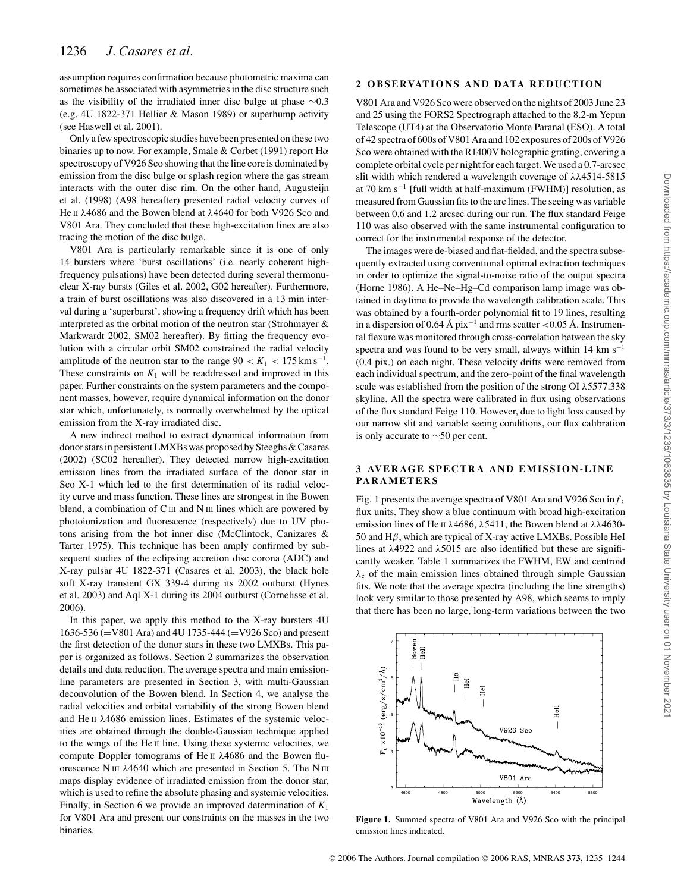assumption requires confirmation because photometric maxima can sometimes be associated with asymmetries in the disc structure such as the visibility of the irradiated inner disc bulge at phase ∼0.3 (e.g. 4U 1822-371 Hellier & Mason 1989) or superhump activity (see Haswell et al. 2001).

Only a few spectroscopic studies have been presented on these two binaries up to now. For example, Smale & Corbet (1991) report  $H\alpha$ spectroscopy of V926 Sco showing that the line core is dominated by emission from the disc bulge or splash region where the gas stream interacts with the outer disc rim. On the other hand, Augusteijn et al. (1998) (A98 hereafter) presented radial velocity curves of He II λ4686 and the Bowen blend at λ4640 for both V926 Sco and V801 Ara. They concluded that these high-excitation lines are also tracing the motion of the disc bulge.

V801 Ara is particularly remarkable since it is one of only 14 bursters where 'burst oscillations' (i.e. nearly coherent highfrequency pulsations) have been detected during several thermonuclear X-ray bursts (Giles et al. 2002, G02 hereafter). Furthermore, a train of burst oscillations was also discovered in a 13 min interval during a 'superburst', showing a frequency drift which has been interpreted as the orbital motion of the neutron star (Strohmayer  $\&$ Markwardt 2002, SM02 hereafter). By fitting the frequency evolution with a circular orbit SM02 constrained the radial velocity amplitude of the neutron star to the range  $90 < K_1 < 175$  km s<sup>-1</sup>. These constraints on  $K_1$  will be readdressed and improved in this paper. Further constraints on the system parameters and the component masses, however, require dynamical information on the donor star which, unfortunately, is normally overwhelmed by the optical emission from the X-ray irradiated disc.

A new indirect method to extract dynamical information from donor stars in persistent LMXBs was proposed by Steeghs & Casares (2002) (SC02 hereafter). They detected narrow high-excitation emission lines from the irradiated surface of the donor star in Sco X-1 which led to the first determination of its radial velocity curve and mass function. These lines are strongest in the Bowen blend, a combination of C III and N III lines which are powered by photoionization and fluorescence (respectively) due to UV photons arising from the hot inner disc (McClintock, Canizares & Tarter 1975). This technique has been amply confirmed by subsequent studies of the eclipsing accretion disc corona (ADC) and X-ray pulsar 4U 1822-371 (Casares et al. 2003), the black hole soft X-ray transient GX 339-4 during its 2002 outburst (Hynes et al. 2003) and Aql X-1 during its 2004 outburst (Cornelisse et al. 2006).

In this paper, we apply this method to the X-ray bursters 4U 1636-536 (=V801 Ara) and 4U 1735-444 (=V926 Sco) and present the first detection of the donor stars in these two LMXBs. This paper is organized as follows. Section 2 summarizes the observation details and data reduction. The average spectra and main emissionline parameters are presented in Section 3, with multi-Gaussian deconvolution of the Bowen blend. In Section 4, we analyse the radial velocities and orbital variability of the strong Bowen blend and He II λ4686 emission lines. Estimates of the systemic velocities are obtained through the double-Gaussian technique applied to the wings of the He II line. Using these systemic velocities, we compute Doppler tomograms of He II λ4686 and the Bowen fluorescence N III λ4640 which are presented in Section 5. The N III maps display evidence of irradiated emission from the donor star, which is used to refine the absolute phasing and systemic velocities. Finally, in Section 6 we provide an improved determination of  $K_1$ for V801 Ara and present our constraints on the masses in the two binaries.

#### **2 OBSERVATIONS AND DATA REDUCTION**

V801 Ara and V926 Sco were observed on the nights of 2003 June 23 and 25 using the FORS2 Spectrograph attached to the 8.2-m Yepun Telescope (UT4) at the Observatorio Monte Paranal (ESO). A total of 42 spectra of 600s of V801 Ara and 102 exposures of 200s of V926 Sco were obtained with the R1400V holographic grating, covering a complete orbital cycle per night for each target. We used a 0.7-arcsec slit width which rendered a wavelength coverage of λλ4514-5815 at 70 km s<sup> $-1$ </sup> [full width at half-maximum (FWHM)] resolution, as measured from Gaussian fits to the arc lines. The seeing was variable between 0.6 and 1.2 arcsec during our run. The flux standard Feige 110 was also observed with the same instrumental configuration to correct for the instrumental response of the detector.

The images were de-biased and flat-fielded, and the spectra subsequently extracted using conventional optimal extraction techniques in order to optimize the signal-to-noise ratio of the output spectra (Horne 1986). A He–Ne–Hg–Cd comparison lamp image was obtained in daytime to provide the wavelength calibration scale. This was obtained by a fourth-order polynomial fit to 19 lines, resulting in a dispersion of 0.64 Å pix<sup>-1</sup> and rms scatter <0.05 Å. Instrumental flexure was monitored through cross-correlation between the sky spectra and was found to be very small, always within 14 km s<sup>-1</sup> (0.4 pix.) on each night. These velocity drifts were removed from each individual spectrum, and the zero-point of the final wavelength scale was established from the position of the strong OI  $\lambda$ 5577.338 skyline. All the spectra were calibrated in flux using observations of the flux standard Feige 110. However, due to light loss caused by our narrow slit and variable seeing conditions, our flux calibration is only accurate to ∼50 per cent.

#### **3 AVERAGE SPECTRA AND EMISSION-LINE PARAMETERS**

Fig. 1 presents the average spectra of V801 Ara and V926 Sco in  $f_{\lambda}$ flux units. They show a blue continuum with broad high-excitation emission lines of He II λ4686, λ5411, the Bowen blend at λλ4630-50 and Hβ, which are typical of X-ray active LMXBs. Possible HeI lines at  $\lambda$ 4922 and  $\lambda$ 5015 are also identified but these are significantly weaker. Table 1 summarizes the FWHM, EW and centroid  $\lambda_c$  of the main emission lines obtained through simple Gaussian fits. We note that the average spectra (including the line strengths) look very similar to those presented by A98, which seems to imply that there has been no large, long-term variations between the two



**Figure 1.** Summed spectra of V801 Ara and V926 Sco with the principal emission lines indicated.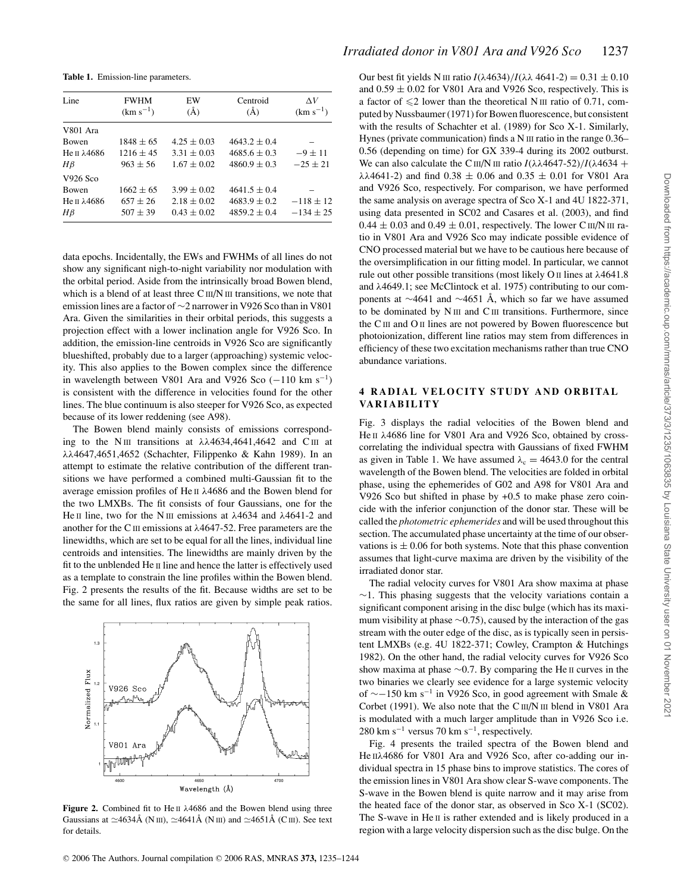**Table 1.** Emission-line parameters.

| Line                    | <b>FWHM</b>   | EW              | Centroid         | $\Delta V$    |  |
|-------------------------|---------------|-----------------|------------------|---------------|--|
|                         | $(km s^{-1})$ | $\rm(\AA)$      | $(\AA)$          | $(km s^{-1})$ |  |
| V801 Ara                |               |                 |                  |               |  |
| <b>Bowen</b>            | $1848 + 65$   | $4.25 \pm 0.03$ | $4643.2 + 0.4$   |               |  |
| He $\pi$ $\lambda$ 4686 | $1216 + 45$   | $3.31 \pm 0.03$ | $4685.6 \pm 0.3$ | $-9 + 11$     |  |
| $H\beta$                | $963 + 56$    | $1.67 \pm 0.02$ | $4860.9 \pm 0.3$ | $-25 + 21$    |  |
| V926 Sco                |               |                 |                  |               |  |
| <b>Bowen</b>            | $1662 + 65$   | $3.99 \pm 0.02$ | $4641.5 \pm 0.4$ |               |  |
| He π $λ$ 4686           | $657 + 26$    | $2.18 \pm 0.02$ | $4683.9 + 0.2$   | $-118 + 12$   |  |
| $H\beta$                | $507 + 39$    | $0.43 \pm 0.02$ | $4859.2 \pm 0.4$ | $-134 + 25$   |  |

data epochs. Incidentally, the EWs and FWHMs of all lines do not show any significant nigh-to-night variability nor modulation with the orbital period. Aside from the intrinsically broad Bowen blend, which is a blend of at least three  $C \text{III/N III}$  transitions, we note that emission lines are a factor of ∼2 narrower in V926 Sco than in V801 Ara. Given the similarities in their orbital periods, this suggests a projection effect with a lower inclination angle for V926 Sco. In addition, the emission-line centroids in V926 Sco are significantly blueshifted, probably due to a larger (approaching) systemic velocity. This also applies to the Bowen complex since the difference in wavelength between V801 Ara and V926 Sco ( $-110 \text{ km s}^{-1}$ ) is consistent with the difference in velocities found for the other lines. The blue continuum is also steeper for V926 Sco, as expected because of its lower reddening (see A98).

The Bowen blend mainly consists of emissions corresponding to the N<sub>III</sub> transitions at  $\lambda\lambda$ 4634,4641,4642 and C<sub>III</sub> at λλ4647,4651,4652 (Schachter, Filippenko & Kahn 1989). In an attempt to estimate the relative contribution of the different transitions we have performed a combined multi-Gaussian fit to the average emission profiles of He II λ4686 and the Bowen blend for the two LMXBs. The fit consists of four Gaussians, one for the He II line, two for the N III emissions at  $λ4634$  and  $λ4641-2$  and another for the C<sub>III</sub> emissions at  $\lambda$ 4647-52. Free parameters are the linewidths, which are set to be equal for all the lines, individual line centroids and intensities. The linewidths are mainly driven by the fit to the unblended He II line and hence the latter is effectively used as a template to constrain the line profiles within the Bowen blend. Fig. 2 presents the results of the fit. Because widths are set to be the same for all lines, flux ratios are given by simple peak ratios.



**Figure 2.** Combined fit to He II λ4686 and the Bowen blend using three Gaussians at  $\simeq$ 4634Å (N III),  $\simeq$ 4641Å (N III) and  $\simeq$ 4651Å (C III). See text for details.

Our best fit yields N III ratio  $I(\lambda 4634)/I(\lambda \lambda 4641-2) = 0.31 \pm 0.10$ and  $0.59 \pm 0.02$  for V801 Ara and V926 Sco, respectively. This is a factor of  $\leq 2$  lower than the theoretical N III ratio of 0.71, computed by Nussbaumer (1971) for Bowen fluorescence, but consistent with the results of Schachter et al. (1989) for Sco X-1. Similarly, Hynes (private communication) finds a N III ratio in the range 0.36– 0.56 (depending on time) for GX 339-4 during its 2002 outburst. We can also calculate the C<sub>III</sub>/N<sub>III</sub> ratio  $I(\lambda \lambda 4647 - 52)/I(\lambda 4634 +$ λλ4641-2) and find  $0.38 \pm 0.06$  and  $0.35 \pm 0.01$  for V801 Ara and V926 Sco, respectively. For comparison, we have performed the same analysis on average spectra of Sco X-1 and 4U 1822-371, using data presented in SC02 and Casares et al. (2003), and find  $0.44 \pm 0.03$  and  $0.49 \pm 0.01$ , respectively. The lower C III/N III ratio in V801 Ara and V926 Sco may indicate possible evidence of CNO processed material but we have to be cautious here because of the oversimplification in our fitting model. In particular, we cannot rule out other possible transitions (most likely O II lines at λ4641.8 and λ4649.1; see McClintock et al. 1975) contributing to our components at ∼4641 and ∼4651 Å, which so far we have assumed to be dominated by  $N$  III and  $C$  III transitions. Furthermore, since the CIII and O II lines are not powered by Bowen fluorescence but photoionization, different line ratios may stem from differences in efficiency of these two excitation mechanisms rather than true CNO abundance variations.

#### **4 RADIAL VELOCITY STUDY AND ORBITAL VA R I A B I L I T Y**

Fig. 3 displays the radial velocities of the Bowen blend and He II λ4686 line for V801 Ara and V926 Sco, obtained by crosscorrelating the individual spectra with Gaussians of fixed FWHM as given in Table 1. We have assumed  $\lambda_c = 4643.0$  for the central wavelength of the Bowen blend. The velocities are folded in orbital phase, using the ephemerides of G02 and A98 for V801 Ara and V926 Sco but shifted in phase by +0.5 to make phase zero coincide with the inferior conjunction of the donor star. These will be called the *photometric ephemerides* and will be used throughout this section. The accumulated phase uncertainty at the time of our observations is  $\pm 0.06$  for both systems. Note that this phase convention assumes that light-curve maxima are driven by the visibility of the irradiated donor star.

The radial velocity curves for V801 Ara show maxima at phase ∼1. This phasing suggests that the velocity variations contain a significant component arising in the disc bulge (which has its maximum visibility at phase ∼0.75), caused by the interaction of the gas stream with the outer edge of the disc, as is typically seen in persistent LMXBs (e.g. 4U 1822-371; Cowley, Crampton & Hutchings 1982). On the other hand, the radial velocity curves for V926 Sco show maxima at phase ∼0.7. By comparing the He II curves in the two binaries we clearly see evidence for a large systemic velocity of ∼−150 km s<sup>−</sup><sup>1</sup> in V926 Sco, in good agreement with Smale & Corbet (1991). We also note that the C III/N III blend in V801 Ara is modulated with a much larger amplitude than in V926 Sco i.e. 280 km s<sup> $-1$ </sup> versus 70 km s<sup> $-1$ </sup>, respectively.

Fig. 4 presents the trailed spectra of the Bowen blend and He IIλ4686 for V801 Ara and V926 Sco, after co-adding our individual spectra in 15 phase bins to improve statistics. The cores of the emission lines in V801 Ara show clear S-wave components. The S-wave in the Bowen blend is quite narrow and it may arise from the heated face of the donor star, as observed in Sco X-1 (SC02). The S-wave in He II is rather extended and is likely produced in a region with a large velocity dispersion such as the disc bulge. On the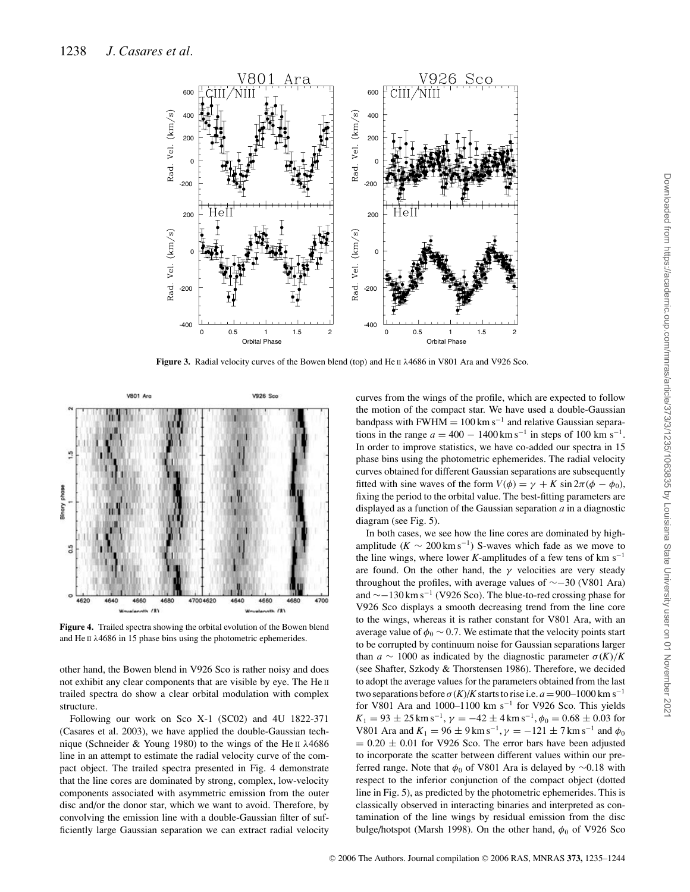

**Figure 3.** Radial velocity curves of the Bowen blend (top) and He II λ4686 in V801 Ara and V926 Sco.



**Figure 4.** Trailed spectra showing the orbital evolution of the Bowen blend and He II λ4686 in 15 phase bins using the photometric ephemerides.

other hand, the Bowen blend in V926 Sco is rather noisy and does not exhibit any clear components that are visible by eye. The He II trailed spectra do show a clear orbital modulation with complex structure.

Following our work on Sco X-1 (SC02) and 4U 1822-371 (Casares et al. 2003), we have applied the double-Gaussian technique (Schneider & Young 1980) to the wings of the He II λ4686 line in an attempt to estimate the radial velocity curve of the compact object. The trailed spectra presented in Fig. 4 demonstrate that the line cores are dominated by strong, complex, low-velocity components associated with asymmetric emission from the outer disc and/or the donor star, which we want to avoid. Therefore, by convolving the emission line with a double-Gaussian filter of sufficiently large Gaussian separation we can extract radial velocity

curves from the wings of the profile, which are expected to follow the motion of the compact star. We have used a double-Gaussian bandpass with FWHM =  $100 \text{ km s}^{-1}$  and relative Gaussian separations in the range  $a = 400 - 1400 \text{ km s}^{-1}$  in steps of 100 km s<sup>-1</sup>. In order to improve statistics, we have co-added our spectra in 15 phase bins using the photometric ephemerides. The radial velocity curves obtained for different Gaussian separations are subsequently fitted with sine waves of the form  $V(\phi) = \gamma + K \sin 2\pi (\phi - \phi_0)$ , fixing the period to the orbital value. The best-fitting parameters are displayed as a function of the Gaussian separation *a* in a diagnostic diagram (see Fig. 5).

In both cases, we see how the line cores are dominated by highamplitude ( $K \sim 200 \text{ km s}^{-1}$ ) S-waves which fade as we move to the line wings, where lower *K*-amplitudes of a few tens of  $km s^{-1}$ are found. On the other hand, the  $\gamma$  velocities are very steady throughout the profiles, with average values of ∼−30 (V801 Ara) and ∼−130 km s<sup>−</sup><sup>1</sup> (V926 Sco). The blue-to-red crossing phase for V926 Sco displays a smooth decreasing trend from the line core to the wings, whereas it is rather constant for V801 Ara, with an average value of  $\phi_0 \sim 0.7$ . We estimate that the velocity points start to be corrupted by continuum noise for Gaussian separations larger than  $a \sim 1000$  as indicated by the diagnostic parameter  $\sigma(K)/K$ (see Shafter, Szkody & Thorstensen 1986). Therefore, we decided to adopt the average values for the parameters obtained from the last two separations before  $\sigma(K)/K$  starts to rise i.e.  $a = 900-1000$  km s<sup>-1</sup> for V801 Ara and 1000–1100 km s<sup>−</sup><sup>1</sup> for V926 Sco. This yields  $K_1 = 93 \pm 25$  km s<sup>-1</sup>,  $\gamma = -42 \pm 4$  km s<sup>-1</sup>,  $\phi_0 = 0.68 \pm 0.03$  for V801 Ara and  $K_1 = 96 \pm 9$  km s<sup>-1</sup>,  $\gamma = -121 \pm 7$  km s<sup>-1</sup> and  $\phi_0$  $= 0.20 \pm 0.01$  for V926 Sco. The error bars have been adjusted to incorporate the scatter between different values within our preferred range. Note that  $\phi_0$  of V801 Ara is delayed by ∼0.18 with respect to the inferior conjunction of the compact object (dotted line in Fig. 5), as predicted by the photometric ephemerides. This is classically observed in interacting binaries and interpreted as contamination of the line wings by residual emission from the disc bulge/hotspot (Marsh 1998). On the other hand,  $\phi_0$  of V926 Sco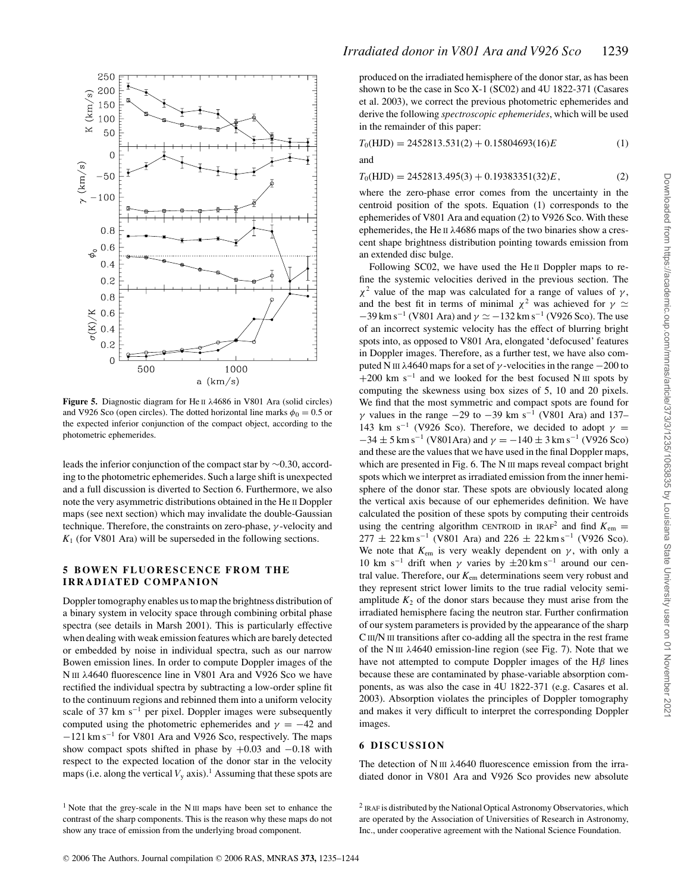

**Figure 5.** Diagnostic diagram for He II λ4686 in V801 Ara (solid circles) and V926 Sco (open circles). The dotted horizontal line marks  $\phi_0 = 0.5$  or the expected inferior conjunction of the compact object, according to the photometric ephemerides.

leads the inferior conjunction of the compact star by ∼0.30, according to the photometric ephemerides. Such a large shift is unexpected and a full discussion is diverted to Section 6. Furthermore, we also note the very asymmetric distributions obtained in the He II Doppler maps (see next section) which may invalidate the double-Gaussian technique. Therefore, the constraints on zero-phase,  $\gamma$ -velocity and *K*<sup>1</sup> (for V801 Ara) will be superseded in the following sections.

#### **5 BOWEN FLUORESCENCE FROM THE IRRADIATED COMPANION**

Doppler tomography enables us to map the brightness distribution of a binary system in velocity space through combining orbital phase spectra (see details in Marsh 2001). This is particularly effective when dealing with weak emission features which are barely detected or embedded by noise in individual spectra, such as our narrow Bowen emission lines. In order to compute Doppler images of the N III λ4640 fluorescence line in V801 Ara and V926 Sco we have rectified the individual spectra by subtracting a low-order spline fit to the continuum regions and rebinned them into a uniform velocity scale of 37 km s<sup>-1</sup> per pixel. Doppler images were subsequently computed using the photometric ephemerides and  $\gamma = -42$  and −121 km s<sup>−</sup><sup>1</sup> for V801 Ara and V926 Sco, respectively. The maps show compact spots shifted in phase by  $+0.03$  and  $-0.18$  with respect to the expected location of the donor star in the velocity maps (i.e. along the vertical  $V_y$  axis).<sup>1</sup> Assuming that these spots are

produced on the irradiated hemisphere of the donor star, as has been shown to be the case in Sco X-1 (SC02) and 4U 1822-371 (Casares et al. 2003), we correct the previous photometric ephemerides and derive the following *spectroscopic ephemerides*, which will be used in the remainder of this paper:

| $T_0(HJD) = 2452813.531(2) + 0.15804693(16)E$ | $^{(1)}$ |
|-----------------------------------------------|----------|
|-----------------------------------------------|----------|

and

 $T_0(HJD) = 2452813.495(3) + 0.19383351(32)E,$  (2)

where the zero-phase error comes from the uncertainty in the centroid position of the spots. Equation (1) corresponds to the ephemerides of V801 Ara and equation (2) to V926 Sco. With these ephemerides, the He II λ4686 maps of the two binaries show a crescent shape brightness distribution pointing towards emission from an extended disc bulge.

Following SC02, we have used the He II Doppler maps to refine the systemic velocities derived in the previous section. The  $\chi^2$  value of the map was calculated for a range of values of  $\gamma$ , and the best fit in terms of minimal  $\chi^2$  was achieved for  $\gamma \simeq$  $-39$  km s<sup>-1</sup> (V801 Ara) and  $\gamma \simeq -132$  km s<sup>-1</sup> (V926 Sco). The use of an incorrect systemic velocity has the effect of blurring bright spots into, as opposed to V801 Ara, elongated 'defocused' features in Doppler images. Therefore, as a further test, we have also computed N III  $\lambda$ 4640 maps for a set of γ-velocities in the range  $-200$  to  $+200$  km s<sup>-1</sup> and we looked for the best focused N III spots by computing the skewness using box sizes of 5, 10 and 20 pixels. We find that the most symmetric and compact spots are found for  $γ$  values in the range  $-29$  to  $-39$  km s<sup>-1</sup> (V801 Ara) and 137-143 km s<sup>-1</sup> (V926 Sco). Therefore, we decided to adopt  $\gamma$  =  $-34 \pm 5$  km s<sup>-1</sup> (V801Ara) and  $\gamma = -140 \pm 3$  km s<sup>-1</sup> (V926 Sco) and these are the values that we have used in the final Doppler maps, which are presented in Fig. 6. The N III maps reveal compact bright spots which we interpret as irradiated emission from the inner hemisphere of the donor star. These spots are obviously located along the vertical axis because of our ephemerides definition. We have calculated the position of these spots by computing their centroids using the centring algorithm CENTROID in IRAF<sup>2</sup> and find  $K_{\text{em}} =$  $277 \pm 22$  km s<sup>-1</sup> (V801 Ara) and  $226 \pm 22$  km s<sup>-1</sup> (V926 Sco). We note that  $K_{\text{em}}$  is very weakly dependent on  $\gamma$ , with only a 10 km s<sup>-1</sup> drift when  $\gamma$  varies by  $\pm 20$  km s<sup>-1</sup> around our central value. Therefore, our *K*em determinations seem very robust and they represent strict lower limits to the true radial velocity semiamplitude  $K_2$  of the donor stars because they must arise from the irradiated hemisphere facing the neutron star. Further confirmation of our system parameters is provided by the appearance of the sharp CIII/N III transitions after co-adding all the spectra in the rest frame of the N III  $\lambda$ 4640 emission-line region (see Fig. 7). Note that we have not attempted to compute Doppler images of the  $H\beta$  lines because these are contaminated by phase-variable absorption components, as was also the case in 4U 1822-371 (e.g. Casares et al. 2003). Absorption violates the principles of Doppler tomography and makes it very difficult to interpret the corresponding Doppler images.

#### **6 DISCUSSION**

The detection of  $N \text{ III}$   $\lambda$ 4640 fluorescence emission from the irradiated donor in V801 Ara and V926 Sco provides new absolute

<sup>&</sup>lt;sup>1</sup> Note that the grey-scale in the N  $\text{III}$  maps have been set to enhance the contrast of the sharp components. This is the reason why these maps do not show any trace of emission from the underlying broad component.

<sup>&</sup>lt;sup>2</sup> IRAF is distributed by the National Optical Astronomy Observatories, which are operated by the Association of Universities of Research in Astronomy, Inc., under cooperative agreement with the National Science Foundation.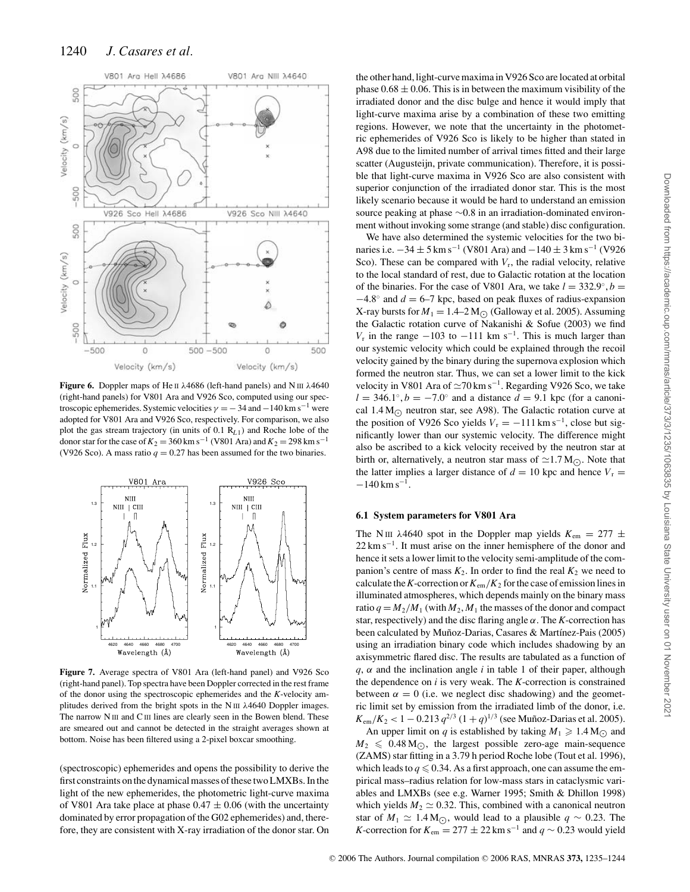

**Figure 6.** Doppler maps of He II λ4686 (left-hand panels) and N III λ4640 (right-hand panels) for V801 Ara and V926 Sco, computed using our spectroscopic ephemerides. Systemic velocities  $\gamma = -34$  and  $-140$  km s<sup>-1</sup> were adopted for V801 Ara and V926 Sco, respectively. For comparison, we also plot the gas stream trajectory (in units of 0.1 R*L*1) and Roche lobe of the donor star for the case of  $K_2 = 360 \text{ km s}^{-1}$  (V801 Ara) and  $K_2 = 298 \text{ km s}^{-1}$ (V926 Sco). A mass ratio  $q = 0.27$  has been assumed for the two binaries.



**Figure 7.** Average spectra of V801 Ara (left-hand panel) and V926 Sco (right-hand panel). Top spectra have been Doppler corrected in the rest frame of the donor using the spectroscopic ephemerides and the *K*-velocity amplitudes derived from the bright spots in the N  $III$   $\lambda$ 4640 Doppler images. The narrow N III and C III lines are clearly seen in the Bowen blend. These are smeared out and cannot be detected in the straight averages shown at bottom. Noise has been filtered using a 2-pixel boxcar smoothing.

(spectroscopic) ephemerides and opens the possibility to derive the first constraints on the dynamical masses of these two LMXBs. In the light of the new ephemerides, the photometric light-curve maxima of V801 Ara take place at phase  $0.47 \pm 0.06$  (with the uncertainty dominated by error propagation of the G02 ephemerides) and, therefore, they are consistent with X-ray irradiation of the donor star. On

the other hand, light-curve maxima in V926 Sco are located at orbital phase  $0.68 \pm 0.06$ . This is in between the maximum visibility of the irradiated donor and the disc bulge and hence it would imply that light-curve maxima arise by a combination of these two emitting regions. However, we note that the uncertainty in the photometric ephemerides of V926 Sco is likely to be higher than stated in A98 due to the limited number of arrival times fitted and their large scatter (Augusteijn, private communication). Therefore, it is possible that light-curve maxima in V926 Sco are also consistent with superior conjunction of the irradiated donor star. This is the most likely scenario because it would be hard to understand an emission source peaking at phase ∼0.8 in an irradiation-dominated environment without invoking some strange (and stable) disc configuration.

We have also determined the systemic velocities for the two binaries i.e.  $-34 \pm 5$  km s<sup>-1</sup> (V801 Ara) and  $-140 \pm 3$  km s<sup>-1</sup> (V926 Sco). These can be compared with  $V_r$ , the radial velocity, relative to the local standard of rest, due to Galactic rotation at the location of the binaries. For the case of V801 Ara, we take  $l = 332.9°$ ,  $b =$ −4.8◦ and *d* = 6–7 kpc, based on peak fluxes of radius-expansion X-ray bursts for  $M_1 = 1.4-2$  M<sub> $\odot$ </sub> (Galloway et al. 2005). Assuming the Galactic rotation curve of Nakanishi & Sofue (2003) we find *V<sub>r</sub>* in the range  $-103$  to  $-111$  km s<sup>-1</sup>. This is much larger than our systemic velocity which could be explained through the recoil velocity gained by the binary during the supernova explosion which formed the neutron star. Thus, we can set a lower limit to the kick velocity in V801 Ara of  $\approx$ 70 km s<sup>-1</sup>. Regarding V926 Sco, we take  $l = 346.1°$ ,  $b = -7.0°$  and a distance  $d = 9.1$  kpc (for a canonical 1.4 M<sub> $\odot$ </sub> neutron star, see A98). The Galactic rotation curve at the position of V926 Sco yields  $V_r = -111 \text{ km s}^{-1}$ , close but significantly lower than our systemic velocity. The difference might also be ascribed to a kick velocity received by the neutron star at birth or, alternatively, a neutron star mass of  $\simeq$  1.7 M<sub> $\odot$ </sub>. Note that the latter implies a larger distance of  $d = 10$  kpc and hence  $V_r =$  $-140$  km s<sup>-1</sup>.

#### **6.1 System parameters for V801 Ara**

The N<sub>III</sub>  $\lambda$ 4640 spot in the Doppler map yields  $K_{\text{em}} = 277 \pm$  $22 \text{ km s}^{-1}$ . It must arise on the inner hemisphere of the donor and hence it sets a lower limit to the velocity semi-amplitude of the companion's centre of mass  $K_2$ . In order to find the real  $K_2$  we need to calculate the *K*-correction or  $K_{em}/K_2$  for the case of emission lines in illuminated atmospheres, which depends mainly on the binary mass ratio  $q = M_2/M_1$  (with  $M_2, M_1$  the masses of the donor and compact star, respectively) and the disc flaring angle  $\alpha$ . The *K*-correction has been calculated by Muñoz-Darias, Casares & Martínez-Pais (2005) using an irradiation binary code which includes shadowing by an axisymmetric flared disc. The results are tabulated as a function of  $q$ ,  $\alpha$  and the inclination angle *i* in table 1 of their paper, although the dependence on *i* is very weak. The *K*-correction is constrained between  $\alpha = 0$  (i.e. we neglect disc shadowing) and the geometric limit set by emission from the irradiated limb of the donor, i.e.  $K_{\text{em}}/K_2 < 1 - 0.213 q^{2/3} (1+q)^{1/3}$  (see Muñoz-Darias et al. 2005).

An upper limit on *q* is established by taking  $M_1 \ge 1.4 M_{\odot}$  and  $M_2 \leqslant 0.48 \,\mathrm{M}_{\bigodot}$ , the largest possible zero-age main-sequence (ZAMS) star fitting in a 3.79 h period Roche lobe (Tout et al. 1996), which leads to  $q \le 0.34$ . As a first approach, one can assume the empirical mass–radius relation for low-mass stars in cataclysmic variables and LMXBs (see e.g. Warner 1995; Smith & Dhillon 1998) which yields  $M_2 \simeq 0.32$ . This, combined with a canonical neutron star of  $M_1 \simeq 1.4 \,\mathrm{M}_{\odot}$ , would lead to a plausible  $q \sim 0.23$ . The *K*-correction for  $K_{\text{em}} = 277 \pm 22 \text{ km s}^{-1}$  and  $q \sim 0.23$  would yield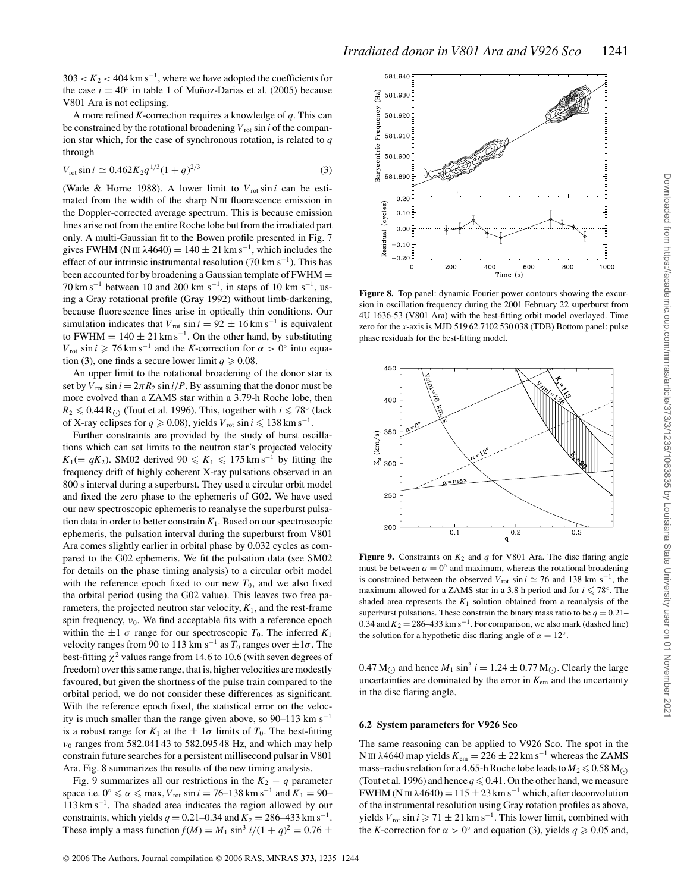$303 < K_2 < 404$  km s<sup>-1</sup>, where we have adopted the coefficients for the case  $i = 40°$  in table 1 of Muñoz-Darias et al. (2005) because V801 Ara is not eclipsing.

A more refined *K*-correction requires a knowledge of *q*. This can be constrained by the rotational broadening  $V_{\text{rot}}$  sin *i* of the companion star which, for the case of synchronous rotation, is related to *q* through

$$
V_{\text{rot}} \sin i \simeq 0.462 K_2 q^{1/3} (1+q)^{2/3} \tag{3}
$$

(Wade & Horne 1988). A lower limit to  $V_{\text{rot}} \sin i$  can be estimated from the width of the sharp N III fluorescence emission in the Doppler-corrected average spectrum. This is because emission lines arise not from the entire Roche lobe but from the irradiated part only. A multi-Gaussian fit to the Bowen profile presented in Fig. 7 gives FWHM (N III  $\lambda$ 4640) = 140 ± 21 km s<sup>-1</sup>, which includes the effect of our intrinsic instrumental resolution (70 km s<sup>-1</sup>). This has been accounted for by broadening a Gaussian template of FWHM =  $70 \text{ km s}^{-1}$  between 10 and 200 km s<sup>-1</sup>, in steps of 10 km s<sup>-1</sup>, using a Gray rotational profile (Gray 1992) without limb-darkening, because fluorescence lines arise in optically thin conditions. Our simulation indicates that  $V_{\text{rot}}$  sin  $i = 92 \pm 16$  km s<sup>-1</sup> is equivalent to FWHM =  $140 \pm 21$  km s<sup>-1</sup>. On the other hand, by substituting  $V_{\text{rot}} \sin i \geqslant 76 \,\text{km} \,\text{s}^{-1}$  and the *K*-correction for  $\alpha > 0$ ° into equation (3), one finds a secure lower limit  $q \ge 0.08$ .

An upper limit to the rotational broadening of the donor star is set by  $V_{\text{rot}} \sin i = 2\pi R_2 \sin i/P$ . By assuming that the donor must be more evolved than a ZAMS star within a 3.79-h Roche lobe, then  $R_2 \leq 0.44 \, \text{R}_{\bigodot}$  (Tout et al. 1996). This, together with *i*  $\leq 78°$  (lack of X-ray eclipses for  $q \ge 0.08$ ), yields  $V_{\text{rot}} \sin i \le 138 \text{ km s}^{-1}$ .

Further constraints are provided by the study of burst oscillations which can set limits to the neutron star's projected velocity  $K_1 (= qK_2)$ . SM02 derived 90  $\le K_1 \le 175$  km s<sup>-1</sup> by fitting the frequency drift of highly coherent X-ray pulsations observed in an 800 s interval during a superburst. They used a circular orbit model and fixed the zero phase to the ephemeris of G02. We have used our new spectroscopic ephemeris to reanalyse the superburst pulsation data in order to better constrain  $K_1$ . Based on our spectroscopic ephemeris, the pulsation interval during the superburst from V801 Ara comes slightly earlier in orbital phase by 0.032 cycles as compared to the G02 ephemeris. We fit the pulsation data (see SM02 for details on the phase timing analysis) to a circular orbit model with the reference epoch fixed to our new  $T_0$ , and we also fixed the orbital period (using the G02 value). This leaves two free parameters, the projected neutron star velocity,  $K_1$ , and the rest-frame spin frequency,  $v_0$ . We find acceptable fits with a reference epoch within the  $\pm 1 \sigma$  range for our spectroscopic  $T_0$ . The inferred  $K_1$ velocity ranges from 90 to 113 km s<sup>-1</sup> as  $T_0$  ranges over  $\pm 1\sigma$ . The best-fitting  $\chi^2$  values range from 14.6 to 10.6 (with seven degrees of freedom) over this same range, that is, higher velocities are modestly favoured, but given the shortness of the pulse train compared to the orbital period, we do not consider these differences as significant. With the reference epoch fixed, the statistical error on the velocity is much smaller than the range given above, so 90–113 km s<sup>-1</sup> is a robust range for  $K_1$  at the  $\pm 1\sigma$  limits of  $T_0$ . The best-fitting  $v_0$  ranges from 582.041 43 to 582.095 48 Hz, and which may help constrain future searches for a persistent millisecond pulsar in V801 Ara. Fig. 8 summarizes the results of the new timing analysis.

Fig. 9 summarizes all our restrictions in the  $K_2 - q$  parameter space i.e.  $0^\circ \le \alpha \le \max$ , *V*<sub>rot</sub> sin *i* = 76–138 km s<sup>-1</sup> and  $K_1$  = 90–  $113 \text{ km s}^{-1}$ . The shaded area indicates the region allowed by our constraints, which yields  $q = 0.21 - 0.34$  and  $K_2 = 286 - 433$  km s<sup>-1</sup>. These imply a mass function  $f(M) = M_1 \sin^3 i/(1+q)^2 = 0.76 \pm \sqrt{1 + (1+q)^2} = 0.76 \pm \sqrt{1 + (1+q)^2} = 0.76 \pm \sqrt{1 + (1+q)^2} = 0.76 \pm \sqrt{1 + (1+q)^2} = 0.76 \pm \sqrt{1 + (1+q)^2} = 0.76 \pm \sqrt{1 + (1+q)^2} = 0.76 \pm \sqrt{1 + (1+q)^2} = 0.76 \pm \sqrt{1 + (1+q)^2} = 0.76 \pm \sqrt{1 + ($ 



in the disc flaring angle.

**6.2 System parameters for V926 Sco**

The same reasoning can be applied to V926 Sco. The spot in the N III λ4640 map yields  $K_{em} = 226 \pm 22$  km s<sup>−1</sup> whereas the ZAMS mass–radius relation for a 4.65-h Roche lobe leads to  $M_2 \le 0.58$  M<sub>O</sub> (Tout et al. 1996) and hence  $q \le 0.41$ . On the other hand, we measure FWHM (N III λ4640) =  $115 \pm 23$  km s<sup>-1</sup> which, after deconvolution of the instrumental resolution using Gray rotation profiles as above, yields  $V_{\text{rot}} \sin i \geq 71 \pm 21 \text{ km s}^{-1}$ . This lower limit, combined with the *K*-correction for  $\alpha > 0^{\circ}$  and equation (3), yields  $q \ge 0.05$  and,



**Figure 8.** Top panel: dynamic Fourier power contours showing the excursion in oscillation frequency during the 2001 February 22 superburst from 4U 1636-53 (V801 Ara) with the best-fitting orbit model overlayed. Time zero for the *x*-axis is MJD 519 62.7102 530 038 (TDB) Bottom panel: pulse phase residuals for the best-fitting model.



must be between  $\alpha = 0^{\circ}$  and maximum, whereas the rotational broadening is constrained between the observed  $V_{\text{rot}}$  sin *i*  $\approx$  76 and 138 km s<sup>-1</sup>, the maximum allowed for a ZAMS star in a 3.8 h period and for  $i \leq 78^\circ$ . The shaded area represents the  $K_1$  solution obtained from a reanalysis of the

Downloaded from https://academic.oup.com/mnras/article/373/3/1235/1063835 by Louisiana State University user on 01 November 202 Downloaded from https://academic.oup.com/mnras/article/373/3/1235/1063835 by Louisiana State University user on 01 November 2021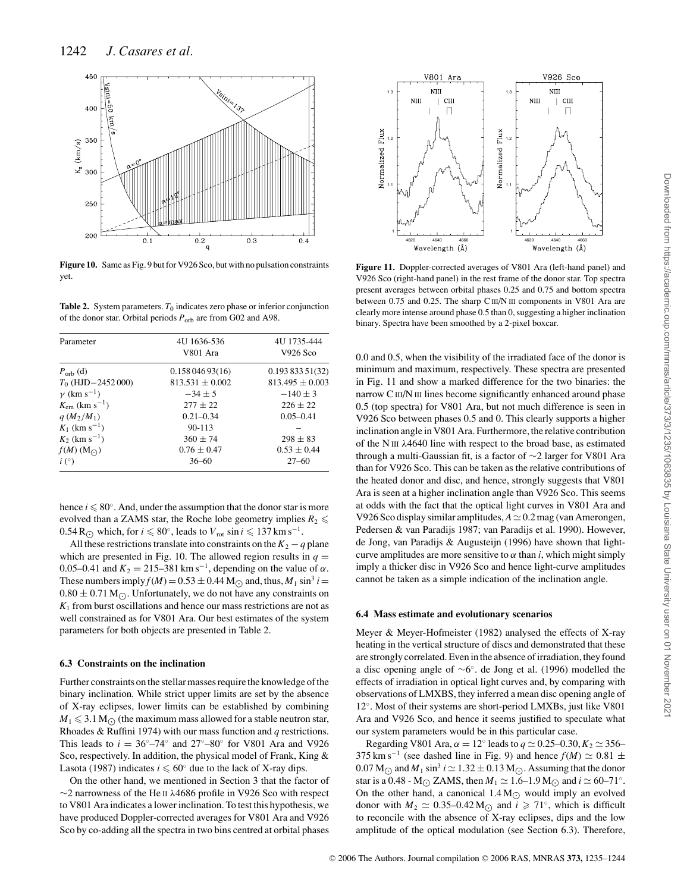

**Figure 10.** Same as Fig. 9 but for V926 Sco, but with no pulsation constraints yet.

**Table 2.** System parameters.  $T_0$  indicates zero phase or inferior conjunction of the donor star. Orbital periods *P*orb are from G02 and A98.

| Parameter                          | 4U 1636-536<br>V801 Ara | 4U 1735-444<br>V926 Sco |
|------------------------------------|-------------------------|-------------------------|
| $P_{\text{orb}}$ (d)               | 0.15804693(16)          | 0.19383351(32)          |
| $T_0$ (HJD $-2452000$ )            | $813.531 \pm 0.002$     | $813.495 \pm 0.003$     |
| $\gamma$ (km s <sup>-1</sup> )     | $-34\pm 5$              | $-140 \pm 3$            |
| $K_{\rm em}$ (km s <sup>-1</sup> ) | $277 \pm 22$            | $226 + 22$              |
| $q(M_2/M_1)$                       | $0.21 - 0.34$           | $0.05 - 0.41$           |
| $K_1$ (km s <sup>-1</sup> )        | $90 - 113$              |                         |
| $K_2$ (km s <sup>-1</sup> )        | $360 \pm 74$            | $298 \pm 83$            |
| $f(M)$ (M $\odot$ )                | $0.76 \pm 0.47$         | $0.53 \pm 0.44$         |
| i(°)                               | $36 - 60$               | $27 - 60$               |

hence  $i \leq 80^\circ$ . And, under the assumption that the donor star is more evolved than a ZAMS star, the Roche lobe geometry implies  $R_2 \leq$ 0.54 R<sub> $\odot$ </sub> which, for *i*  $\leq 80^\circ$ , leads to  $V_{\text{rot}} \sin i \leq 137 \text{ km s}^{-1}$ .

All these restrictions translate into constraints on the  $K_2 - q$  plane which are presented in Fig. 10. The allowed region results in  $q =$ 0.05–0.41 and  $K_2 = 215-381 \text{ km s}^{-1}$ , depending on the value of  $\alpha$ . These numbers imply  $f(M) = 0.53 \pm 0.44$  M<sub> $\odot$ </sub> and, thus,  $M_1 \sin^3 i =$  $0.80 \pm 0.71$  M $\odot$ . Unfortunately, we do not have any constraints on  $K<sub>1</sub>$  from burst oscillations and hence our mass restrictions are not as well constrained as for V801 Ara. Our best estimates of the system parameters for both objects are presented in Table 2.

#### **6.3 Constraints on the inclination**

Further constraints on the stellar masses require the knowledge of the binary inclination. While strict upper limits are set by the absence of X-ray eclipses, lower limits can be established by combining  $M_1 \leqslant 3.1 \, \text{M}_\odot$  (the maximum mass allowed for a stable neutron star, Rhoades & Ruffini 1974) with our mass function and *q* restrictions. This leads to  $i = 36°-74°$  and  $27°-80°$  for V801 Ara and V926 Sco, respectively. In addition, the physical model of Frank, King & Lasota (1987) indicates  $i \leq 60°$  due to the lack of X-ray dips.

On the other hand, we mentioned in Section 3 that the factor of  $\sim$ 2 narrowness of the He II  $\lambda$ 4686 profile in V926 Sco with respect to V801 Ara indicates a lower inclination. To test this hypothesis, we have produced Doppler-corrected averages for V801 Ara and V926 Sco by co-adding all the spectra in two bins centred at orbital phases



**Figure 11.** Doppler-corrected averages of V801 Ara (left-hand panel) and V926 Sco (right-hand panel) in the rest frame of the donor star. Top spectra present averages between orbital phases 0.25 and 0.75 and bottom spectra between 0.75 and 0.25. The sharp C<sub>III</sub>/N<sub>III</sub> components in V801 Ara are clearly more intense around phase 0.5 than 0, suggesting a higher inclination binary. Spectra have been smoothed by a 2-pixel boxcar.

0.0 and 0.5, when the visibility of the irradiated face of the donor is minimum and maximum, respectively. These spectra are presented in Fig. 11 and show a marked difference for the two binaries: the narrow C III/N III lines become significantly enhanced around phase 0.5 (top spectra) for V801 Ara, but not much difference is seen in V926 Sco between phases 0.5 and 0. This clearly supports a higher inclination angle in V801 Ara. Furthermore, the relative contribution of the N III λ4640 line with respect to the broad base, as estimated through a multi-Gaussian fit, is a factor of ∼2 larger for V801 Ara than for V926 Sco. This can be taken as the relative contributions of the heated donor and disc, and hence, strongly suggests that V801 Ara is seen at a higher inclination angle than V926 Sco. This seems at odds with the fact that the optical light curves in V801 Ara and V926 Sco display similar amplitudes,  $A \approx 0.2$  mag (van Amerongen, Pedersen & van Paradijs 1987; van Paradijs et al. 1990). However, de Jong, van Paradijs & Augusteijn (1996) have shown that lightcurve amplitudes are more sensitive to  $\alpha$  than *i*, which might simply imply a thicker disc in V926 Sco and hence light-curve amplitudes cannot be taken as a simple indication of the inclination angle.

#### **6.4 Mass estimate and evolutionary scenarios**

Meyer & Meyer-Hofmeister (1982) analysed the effects of X-ray heating in the vertical structure of discs and demonstrated that these are strongly correlated. Even in the absence of irradiation, they found a disc opening angle of ∼6◦. de Jong et al. (1996) modelled the effects of irradiation in optical light curves and, by comparing with observations of LMXBS, they inferred a mean disc opening angle of 12◦. Most of their systems are short-period LMXBs, just like V801 Ara and V926 Sco, and hence it seems justified to speculate what our system parameters would be in this particular case.

Regarding V801 Ara,  $\alpha = 12^\circ$  leads to  $q \approx 0.25-0.30$ ,  $K_2 \approx 356-$ 375 km s<sup>-1</sup> (see dashed line in Fig. 9) and hence  $f(M) \simeq 0.81 \pm 0.81$  $0.07$  M<sub> $\odot$ </sub> and  $M_1 \sin^3 i \simeq 1.32 \pm 0.13$  M $\odot$ . Assuming that the donor star is a 0.48 - M<sub> $\odot$ </sub> ZAMS, then  $M_1 \simeq 1.6$ –1.9 M<sub> $\odot$ </sub> and  $i \simeq 60$ –71<sup>°</sup>. On the other hand, a canonical  $1.4 M_{\odot}$  would imply an evolved donor with  $M_2 \simeq 0.35-0.42 \,\mathrm{M}_{\odot}$  and  $i \geq 71^{\circ}$ , which is difficult to reconcile with the absence of X-ray eclipses, dips and the low amplitude of the optical modulation (see Section 6.3). Therefore,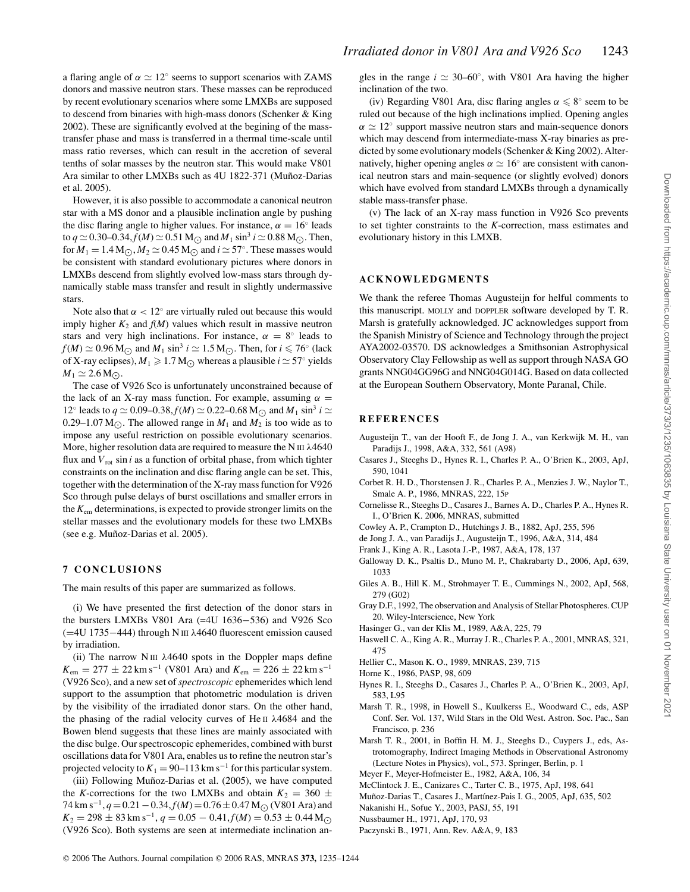a flaring angle of  $\alpha \simeq 12^\circ$  seems to support scenarios with ZAMS donors and massive neutron stars. These masses can be reproduced by recent evolutionary scenarios where some LMXBs are supposed to descend from binaries with high-mass donors (Schenker & King 2002). These are significantly evolved at the begining of the masstransfer phase and mass is transferred in a thermal time-scale until mass ratio reverses, which can result in the accretion of several tenths of solar masses by the neutron star. This would make V801 Ara similar to other LMXBs such as 4U 1822-371 (Muñoz-Darias et al. 2005).

However, it is also possible to accommodate a canonical neutron star with a MS donor and a plausible inclination angle by pushing the disc flaring angle to higher values. For instance,  $\alpha = 16^\circ$  leads to  $q \approx 0.30{\rm -}0.34$ ,  $f(M) \approx 0.51$  M<sub> $\odot$ </sub> and  $M_1 \sin^3 i \approx 0.88$  M $\odot$ . Then, for  $M_1 = 1.4 \text{ M}\odot$ ,  $M_2 \simeq 0.45 \text{ M}\odot$  and  $i \simeq 57^\circ$ . These masses would be consistent with standard evolutionary pictures where donors in LMXBs descend from slightly evolved low-mass stars through dynamically stable mass transfer and result in slightly undermassive stars.

Note also that  $\alpha < 12^\circ$  are virtually ruled out because this would imply higher  $K_2$  and  $f(M)$  values which result in massive neutron stars and very high inclinations. For instance,  $\alpha = 8^\circ$  leads to  $f(M) \simeq 0.96 \,\mathrm{M}_{\odot}$  and  $M_1 \sin^3 i \simeq 1.5 \,\mathrm{M}_{\odot}$ . Then, for  $i \leq 76^{\circ}$  (lack of X-ray eclipses),  $M_1 \geqslant 1.7$  M<sub> $\odot$ </sub> whereas a plausible  $i \simeq 57^\circ$  yields  $M_1 \simeq 2.6$  M<sub> $\odot$ </sub>.

The case of V926 Sco is unfortunately unconstrained because of the lack of an X-ray mass function. For example, assuming  $\alpha =$ 12° leads to *q* ≥ 0.09–0.38, *f*(*M*) ≥ 0.22–0.68 M<sub>○</sub> and *M*<sub>1</sub> sin<sup>3</sup> *i* ≥ 0.29–1.07 M<sub> $\odot$ </sub>. The allowed range in  $M_1$  and  $M_2$  is too wide as to impose any useful restriction on possible evolutionary scenarios. More, higher resolution data are required to measure the N III  $\lambda$ 4640 flux and  $V_{\text{rot}}$  sin *i* as a function of orbital phase, from which tighter constraints on the inclination and disc flaring angle can be set. This, together with the determination of the X-ray mass function for V926 Sco through pulse delays of burst oscillations and smaller errors in the *K*em determinations, is expected to provide stronger limits on the stellar masses and the evolutionary models for these two LMXBs (see e.g. Mu˜noz-Darias et al. 2005).

#### **7 CONCLUSIONS**

The main results of this paper are summarized as follows.

(i) We have presented the first detection of the donor stars in the bursters LMXBs V801 Ara (=4U 1636−536) and V926 Sco (=4U 1735−444) through N III λ4640 fluorescent emission caused by irradiation.

(ii) The narrow  $N \text{ III}$   $\lambda$ 4640 spots in the Doppler maps define  $K_{\text{em}} = 277 \pm 22 \text{ km s}^{-1}$  (V801 Ara) and  $K_{\text{em}} = 226 \pm 22 \text{ km s}^{-1}$ (V926 Sco), and a new set of*spectroscopic* ephemerides which lend support to the assumption that photometric modulation is driven by the visibility of the irradiated donor stars. On the other hand, the phasing of the radial velocity curves of He II  $\lambda$ 4684 and the Bowen blend suggests that these lines are mainly associated with the disc bulge. Our spectroscopic ephemerides, combined with burst oscillations data for V801 Ara, enables us to refine the neutron star's projected velocity to  $K_1 = 90-113$  km s<sup>-1</sup> for this particular system.

(iii) Following Muñoz-Darias et al. (2005), we have computed the *K*-corrections for the two LMXBs and obtain  $K_2 = 360 \pm 100$ 74 km s<sup>-1</sup>, *q* = 0.21 − 0.34, *f*(*M*) = 0.76 ± 0.47 M<sub>○</sub> (V801 Ara) and  $K_2 = 298 \pm 83$  km s<sup>-1</sup>,  $q = 0.05 - 0.41$ ,  $f(M) = 0.53 \pm 0.44$  M<sub>O</sub> (V926 Sco). Both systems are seen at intermediate inclination angles in the range  $i \approx 30-60^\circ$ , with V801 Ara having the higher inclination of the two.

(iv) Regarding V801 Ara, disc flaring angles  $\alpha \leq 8^\circ$  seem to be ruled out because of the high inclinations implied. Opening angles  $\alpha \simeq 12^{\circ}$  support massive neutron stars and main-sequence donors which may descend from intermediate-mass X-ray binaries as predicted by some evolutionary models (Schenker & King 2002). Alternatively, higher opening angles  $\alpha \simeq 16^{\circ}$  are consistent with canonical neutron stars and main-sequence (or slightly evolved) donors which have evolved from standard LMXBs through a dynamically stable mass-transfer phase.

(v) The lack of an X-ray mass function in V926 Sco prevents to set tighter constraints to the *K*-correction, mass estimates and evolutionary history in this LMXB.

#### **ACKNOWLEDGMENTS**

We thank the referee Thomas Augusteijn for helful comments to this manuscript. MOLLY and DOPPLER software developed by T. R. Marsh is gratefully acknowledged. JC acknowledges support from the Spanish Ministry of Science and Technology through the project AYA2002-03570. DS acknowledges a Smithsonian Astrophysical Observatory Clay Fellowship as well as support through NASA GO grants NNG04GG96G and NNG04G014G. Based on data collected at the European Southern Observatory, Monte Paranal, Chile.

#### **REFERENCES**

- Augusteijn T., van der Hooft F., de Jong J. A., van Kerkwijk M. H., van Paradijs J., 1998, A&A, 332, 561 (A98)
- Casares J., Steeghs D., Hynes R. I., Charles P. A., O'Brien K., 2003, ApJ, 590, 1041
- Corbet R. H. D., Thorstensen J. R., Charles P. A., Menzies J. W., Naylor T., Smale A. P., 1986, MNRAS, 222, 15P
- Cornelisse R., Steeghs D., Casares J., Barnes A. D., Charles P. A., Hynes R. I., O'Brien K. 2006, MNRAS, submitted
- Cowley A. P., Crampton D., Hutchings J. B., 1882, ApJ, 255, 596
- de Jong J. A., van Paradijs J., Augusteijn T., 1996, A&A, 314, 484
- Frank J., King A. R., Lasota J.-P., 1987, A&A, 178, 137
- Galloway D. K., Psaltis D., Muno M. P., Chakrabarty D., 2006, ApJ, 639, 1033
- Giles A. B., Hill K. M., Strohmayer T. E., Cummings N., 2002, ApJ, 568, 279 (G02)
- Gray D.F., 1992, The observation and Analysis of Stellar Photospheres. CUP 20. Wiley-Interscience, New York
- Hasinger G., van der Klis M., 1989, A&A, 225, 79
- Haswell C. A., King A. R., Murray J. R., Charles P. A., 2001, MNRAS, 321, 475
- Hellier C., Mason K. O., 1989, MNRAS, 239, 715
- Horne K., 1986, PASP, 98, 609
- Hynes R. I., Steeghs D., Casares J., Charles P. A., O'Brien K., 2003, ApJ, 583, L95
- Marsh T. R., 1998, in Howell S., Kuulkerss E., Woodward C., eds, ASP Conf. Ser. Vol. 137, Wild Stars in the Old West. Astron. Soc. Pac., San Francisco, p. 236
- Marsh T. R., 2001, in Boffin H. M. J., Steeghs D., Cuypers J., eds, Astrotomography, Indirect Imaging Methods in Observational Astronomy (Lecture Notes in Physics), vol., 573. Springer, Berlin, p. 1
- Meyer F., Meyer-Hofmeister E., 1982, A&A, 106, 34
- McClintock J. E., Canizares C., Tarter C. B., 1975, ApJ, 198, 641
- Muñoz-Darias T., Casares J., Martínez-Pais I. G., 2005, ApJ, 635, 502
- Nakanishi H., Sofue Y., 2003, PASJ, 55, 191
- Nussbaumer H., 1971, ApJ, 170, 93
- Paczynski B., 1971, Ann. Rev. A&A, 9, 183